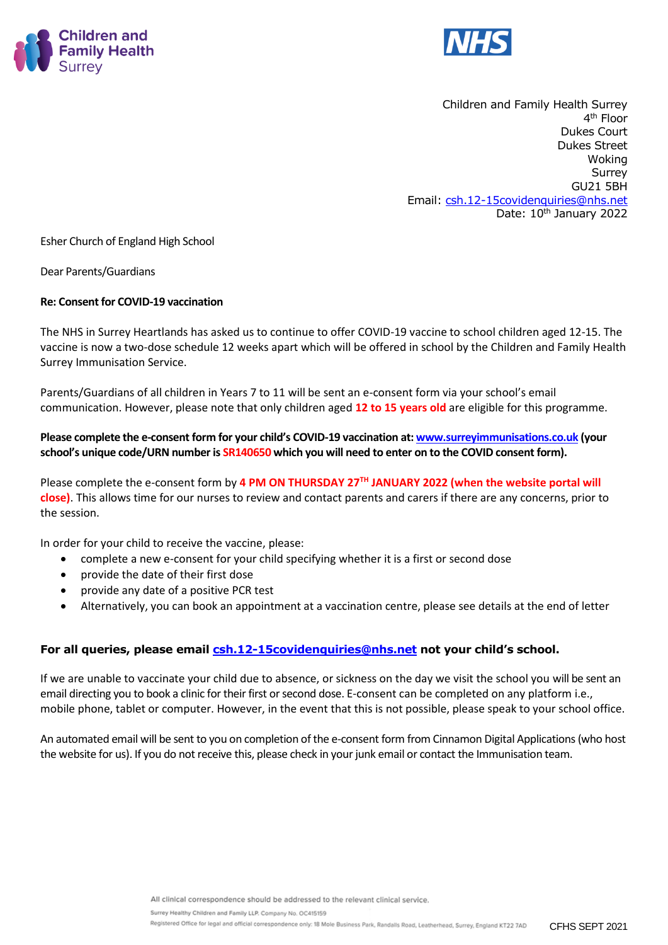



Children and Family Health Surrey 4 th Floor Dukes Court Dukes Street Woking Surrey GU21 5BH Email: [csh.12-15covidenquiries@nhs.net](mailto:csh.12-15covidenquiries@nhs.net) Date: 10<sup>th</sup> January 2022

Esher Church of England High School

Dear Parents/Guardians

# **Re: Consent for COVID-19 vaccination**

The NHS in Surrey Heartlands has asked us to continue to offer COVID-19 vaccine to school children aged 12-15. The vaccine is now a two-dose schedule 12 weeks apart which will be offered in school by the Children and Family Health Surrey Immunisation Service.

Parents/Guardians of all children in Years 7 to 11 will be sent an e-consent form via your school's email communication. However, please note that only children aged **12 to 15 years old** are eligible for this programme.

**Please complete the e-consent form for your child's COVID-19 vaccination at[: www.surreyimmunisations.co.uk](http://www.surreyimmunisations.co.uk/) (your school's unique code/URN number is SR140650 which you will need to enter on to the COVID consent form).**

Please complete the e-consent form by **4 PM ON THURSDAY 27TH JANUARY 2022 (when the website portal will close)**. This allows time for our nurses to review and contact parents and carers if there are any concerns, prior to the session.

In order for your child to receive the vaccine, please:

- complete a new e-consent for your child specifying whether it is a first or second dose
- provide the date of their first dose
- provide any date of a positive PCR test
- Alternatively, you can book an appointment at a vaccination centre, please see details at the end of letter

# **For all queries, please email [csh.12-15covidenquiries@nhs.net](mailto:csh.12-15covidenquiries@nhs.net) not your child's school.**

If we are unable to vaccinate your child due to absence, or sickness on the day we visit the school you will be sent an email directing you to book a clinic for their first or second dose. E-consent can be completed on any platform i.e., mobile phone, tablet or computer. However, in the event that this is not possible, please speak to your school office.

An automated email will be sent to you on completion of the e-consent form from Cinnamon Digital Applications (who host the website for us). If you do not receive this, please check in your junk email or contact the Immunisation team.

Surrey Healthy Children and Family LLP. Company No. OC415159